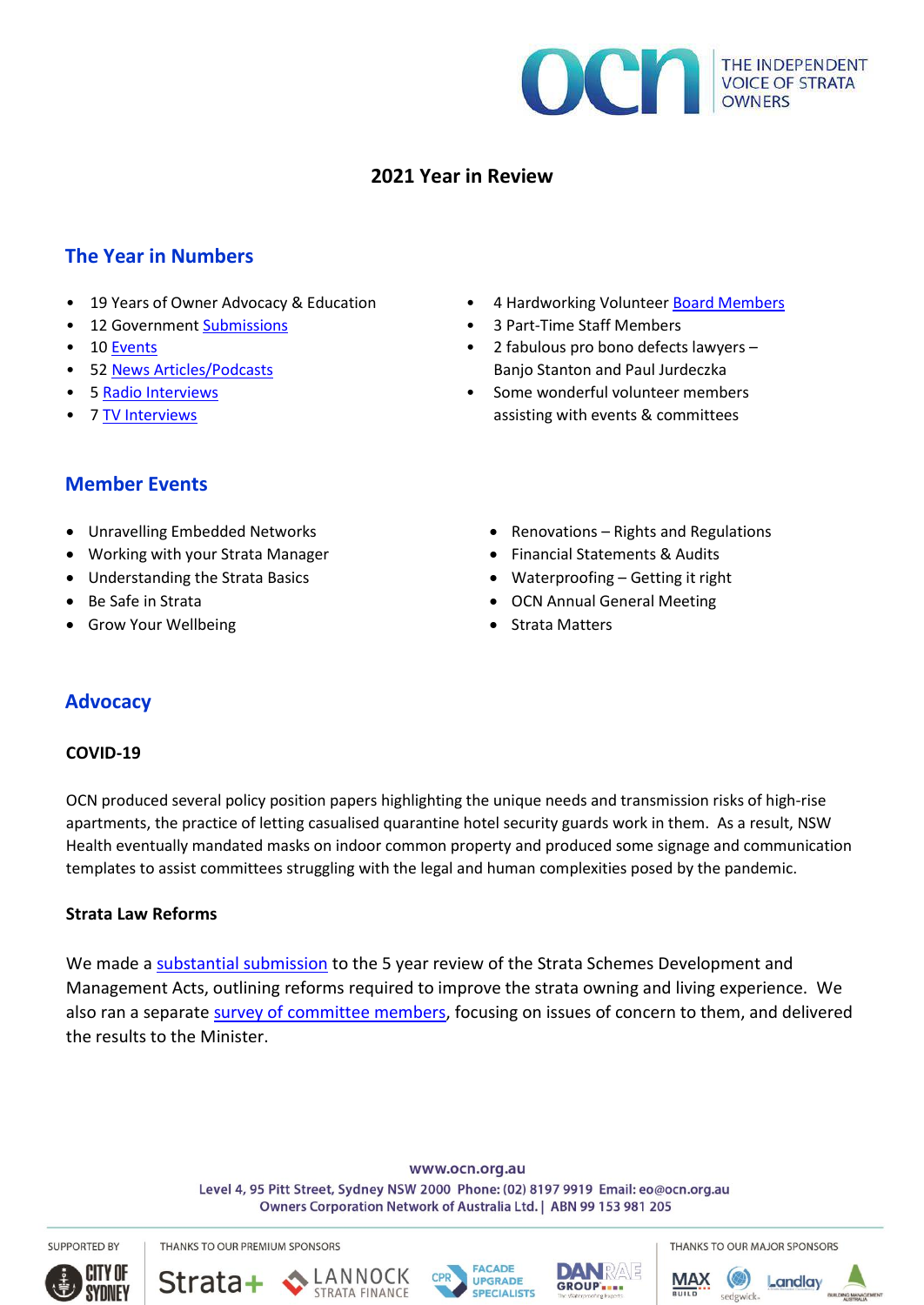

# **2021 Year in Review**

## **The Year in Numbers**

- 19 Years of Owner Advocacy & Education
- 12 Government [Submissions](https://ocn.org.au/ocn-submissions/)
- 10 [Events](https://ocn.org.au/events/)
- 52 [News Articles/Podcasts](https://ocn.org.au/ocn-in-the-media/)
- 5 Radio Interviews
- 7 TV Interviews

#### • 4 Hardworking Volunteer [Board Members](https://ocn.org.au/about-ocn/)

- 3 Part-Time Staff Members
- 2 fabulous pro bono defects lawyers Banjo Stanton and Paul Jurdeczka
- Some wonderful volunteer members assisting with events & committees

### **Member Events**

- Unravelling Embedded Networks
- Working with your Strata Manager
- Understanding the Strata Basics
- Be Safe in Strata
- Grow Your Wellbeing
- Renovations Rights and Regulations
- Financial Statements & Audits
- Waterproofing Getting it right
- OCN Annual General Meeting
- Strata Matters

# **Advocacy**

### **COVID-19**

OCN produced several policy position papers highlighting the unique needs and transmission risks of high-rise apartments, the practice of letting casualised quarantine hotel security guards work in them. As a result, NSW Health eventually mandated masks on indoor common property and produced some signage and communication templates to assist committees struggling with the legal and human complexities posed by the pandemic.

### **Strata Law Reforms**

We made [a substantial submission](https://ocn.org.au/strata-schemes-management-act-5-year-review/) to the 5 year review of the Strata Schemes Development and Management Acts, outlining reforms required to improve the strata owning and living experience. We also ran a separate [survey of committee members,](https://ocn.org.au/strata-schemes-management-act-survey-results/) focusing on issues of concern to them, and delivered the results to the Minister.

> www.ocn.org.au Level 4, 95 Pitt Street, Sydney NSW 2000 Phone: (02) 8197 9919 Email: eo@ocn.org.au Owners Corporation Network of Australia Ltd. | ABN 99 153 981 205

**SUPPORTED BY**